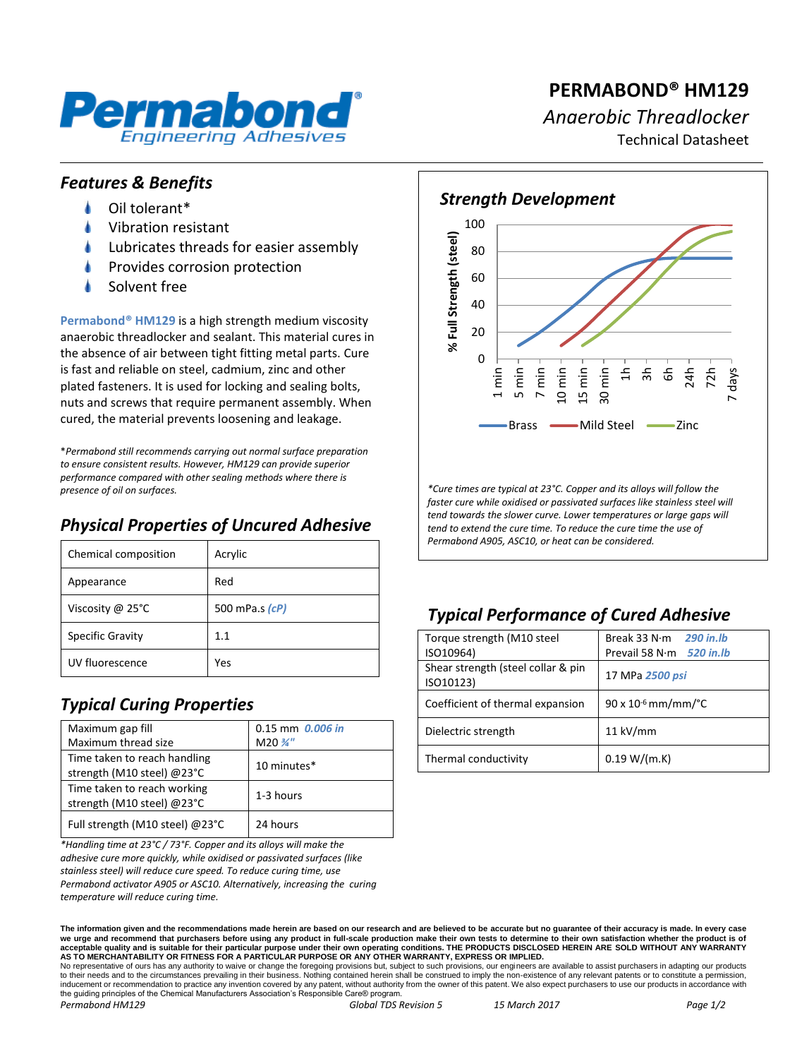

# **PERMABOND® HM129** *Anaerobic Threadlocker* Technical Datasheet

#### *Features & Benefits*

- Oil tolerant\*
- Vibration resistant
- Lubricates threads for easier assembly
- Provides corrosion protection
- Solvent free

**Permabond® HM129** is a high strength medium viscosity anaerobic threadlocker and sealant. This material cures in the absence of air between tight fitting metal parts. Cure is fast and reliable on steel, cadmium, zinc and other plated fasteners. It is used for locking and sealing bolts, nuts and screws that require permanent assembly. When cured, the material prevents loosening and leakage.

\**Permabond still recommends carrying out normal surface preparation to ensure consistent results. However, HM129 can provide superior performance compared with other sealing methods where there is presence of oil on surfaces.*

## *Physical Properties of Uncured Adhesive*

| Chemical composition       | Acrylic        |
|----------------------------|----------------|
| Appearance                 | Red            |
| Viscosity @ $25^{\circ}$ C | 500 mPa.s (cP) |
| <b>Specific Gravity</b>    | 1.1            |
| UV fluorescence            | Yes            |

## *Typical Curing Properties*

| Maximum gap fill                                           | $0.15$ mm $0.006$ in |
|------------------------------------------------------------|----------------------|
| Maximum thread size                                        | $M20\frac{3}{4}$ "   |
| Time taken to reach handling<br>strength (M10 steel) @23°C | 10 minutes*          |
| Time taken to reach working<br>strength (M10 steel) @23°C  | 1-3 hours            |
| Full strength (M10 steel) @23°C                            | 24 hours             |

*\*Handling time at 23°C / 73°F. Copper and its alloys will make the adhesive cure more quickly, while oxidised or passivated surfaces (like stainless steel) will reduce cure speed. To reduce curing time, use Permabond activator A905 or ASC10. Alternatively, increasing the curing temperature will reduce curing time.*



*\*Cure times are typical at 23°C. Copper and its alloys will follow the faster cure while oxidised or passivated surfaces like stainless steel will tend towards the slower curve. Lower temperatures or large gaps will tend to extend the cure time. To reduce the cure time the use of Permabond A905, ASC10, or heat can be considered.*

## *Typical Performance of Cured Adhesive*

| Torque strength (M10 steel                      | Break 33 N·m<br><b>290 in.lb</b>  |
|-------------------------------------------------|-----------------------------------|
| ISO10964)                                       | Prevail 58 N $\cdot$ m 520 in. Ib |
| Shear strength (steel collar & pin<br>ISO10123) | 17 MPa 2500 psi                   |
| Coefficient of thermal expansion                | $90 \times 10^{-6}$ mm/mm/°C      |
| Dielectric strength                             | $11$ kV/mm                        |
| Thermal conductivity                            | 0.19 W/(m.K)                      |

**The information given and the recommendations made herein are based on our research and are believed to be accurate but no guarantee of their accuracy is made. In every case**  we urge and recommend that purchasers before using any product in full-scale production make their own tests to determine to their own satisfaction whether the produ acceptable quality and is suitable for their particular purpose under their own operating conditions. THE PRODUCTS DISCLOSED HEREIN ARE SOLD WITHOUT ANY WARRANTY<br>AS TO MERCHANTABILITY OR FITNESS FOR A PARTICULAR PURPOSE OR

No representative of ours has any authority to waive or change the foregoing provisions but, subject to such provisions, our engineers are available to assist purchasers in adapting our products to their needs and to the circumstances prevailing in their business. Nothing contained herein shall be construed to imply the non-existence of any relevant patents or to constitute a permission, inducement or recommendation to practice any invention covered by any patent, without authority from the owner of this patent. We also expect purchasers to use our products in accordance with the guiding principles of the Chemical Manufacturers Association's Responsible Care® program *Permabond HM129 Global TDS Revision 5 15 March 2017 Page 1/2*